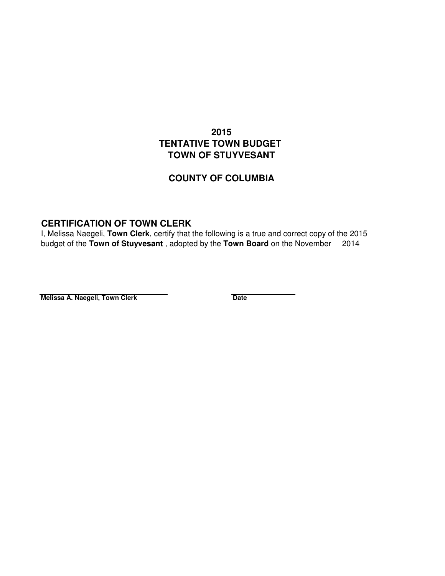## **2015 TENTATIVE TOWN BUDGET TOWN OF STUYVESANT**

## **COUNTY OF COLUMBIA**

## **CERTIFICATION OF TOWN CLERK**

I, Melissa Naegeli, **Town Clerk**, certify that the following is a true and correct copy of the 2015 budget of the **Town of Stuyvesant** , adopted by the **Town Board** on the November 2014

**Melissa A. Naegeli, Town Clerk Date Date**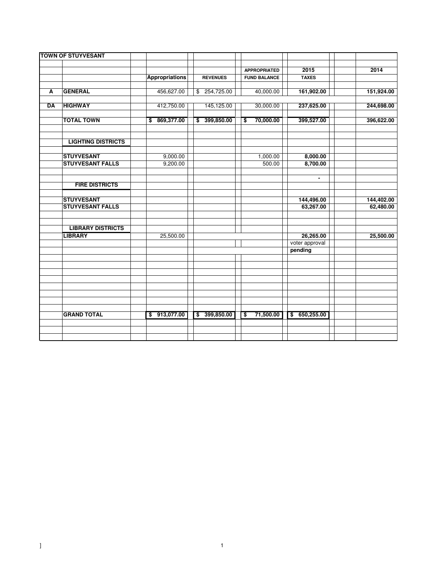|    | <b>TOWN OF STUYVESANT</b> |                       |                 |                                            |                           |            |
|----|---------------------------|-----------------------|-----------------|--------------------------------------------|---------------------------|------------|
|    |                           |                       |                 |                                            |                           |            |
|    |                           |                       | <b>REVENUES</b> | <b>APPROPRIATED</b><br><b>FUND BALANCE</b> | 2015<br><b>TAXES</b>      | 2014       |
|    |                           | <b>Appropriations</b> |                 |                                            |                           |            |
| A  | <b>GENERAL</b>            | 456,627.00            | \$ 254,725.00   | 40,000.00                                  | 161,902.00                | 151,924.00 |
|    |                           |                       |                 |                                            |                           |            |
| DA | <b>HIGHWAY</b>            | 412,750.00            | 145,125.00      | 30,000.00                                  | 237,625.00                | 244,698.00 |
|    | <b>TOTAL TOWN</b>         | 869,377.00<br>\$      | \$399,850.00    | 70,000.00<br>\$                            | 399,527.00                | 396,622.00 |
|    | <b>LIGHTING DISTRICTS</b> |                       |                 |                                            |                           |            |
|    | <b>STUYVESANT</b>         | 9,000.00              |                 | 1,000.00                                   | 8,000.00                  |            |
|    | <b>STUYVESANT FALLS</b>   | 9,200.00              |                 | 500.00                                     | 8,700.00                  |            |
|    | <b>FIRE DISTRICTS</b>     |                       |                 |                                            |                           |            |
|    | <b>STUYVESANT</b>         |                       |                 |                                            | 144,496.00                | 144,402.00 |
|    | <b>STUYVESANT FALLS</b>   |                       |                 |                                            | 63,267.00                 | 62,480.00  |
|    | <b>LIBRARY DISTRICTS</b>  |                       |                 |                                            |                           |            |
|    | <b>LIBRARY</b>            | 25,500.00             |                 |                                            | 26,265.00                 | 25,500.00  |
|    |                           |                       |                 |                                            | voter approval<br>pending |            |
|    |                           |                       |                 |                                            |                           |            |
|    |                           |                       |                 |                                            |                           |            |
|    |                           |                       |                 |                                            |                           |            |
|    |                           |                       |                 |                                            |                           |            |
|    | <b>GRAND TOTAL</b>        | \$913,077.00          | \$399,850.00    | 71,500.00<br>\$                            | \$650,255.00              |            |
|    |                           |                       |                 |                                            |                           |            |
|    |                           |                       |                 |                                            |                           |            |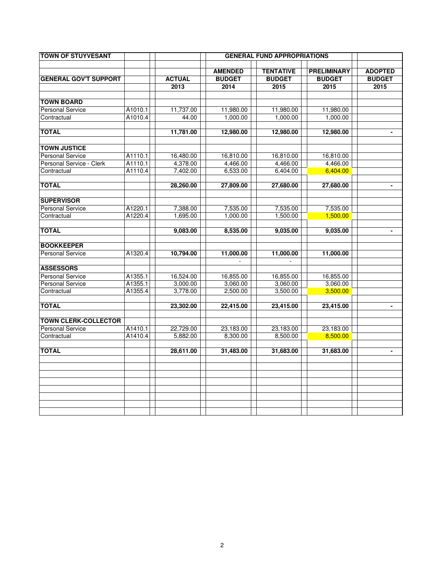| <b>TOWN OF STUYVESANT</b>    |         |                      |                | <b>GENERAL FUND APPROPRIATIONS</b> |                    |                              |
|------------------------------|---------|----------------------|----------------|------------------------------------|--------------------|------------------------------|
|                              |         |                      | <b>AMENDED</b> | <b>TENTATIVE</b>                   | <b>PRELIMINARY</b> | <b>ADOPTED</b>               |
| <b>GENERAL GOV'T SUPPORT</b> |         | <b>ACTUAL</b>        | <b>BUDGET</b>  | <b>BUDGET</b>                      | <b>BUDGET</b>      | <b>BUDGET</b>                |
|                              |         | 2013                 | 2014           | 2015                               | 2015               | 2015                         |
|                              |         |                      |                |                                    |                    |                              |
| <b>TOWN BOARD</b>            |         |                      |                |                                    |                    |                              |
| <b>Personal Service</b>      | A1010.1 | 11,737.00            | 11,980.00      | 11,980.00                          | 11,980.00          |                              |
| Contractual                  | A1010.4 | 44.00                | 1,000.00       | 1,000.00                           | 1,000.00           |                              |
|                              |         |                      |                |                                    |                    |                              |
| <b>TOTAL</b>                 |         | 11,781.00            | 12,980.00      | 12,980.00                          | 12,980.00          | $\blacksquare$               |
|                              |         |                      |                |                                    |                    |                              |
| <b>TOWN JUSTICE</b>          |         |                      |                |                                    |                    |                              |
| <b>Personal Service</b>      | A1110.1 | 16,480.00            | 16,810.00      | 16,810.00                          | 16,810.00          |                              |
| Personal Service - Clerk     | A1110.1 | 4,378.00             | 4,466.00       | 4,466.00                           | 4,466.00           |                              |
| Contractual                  | A1110.4 | 7,402.00             | 6,533.00       | 6,404.00                           | 6,404.00           |                              |
|                              |         |                      |                |                                    |                    |                              |
| <b>TOTAL</b>                 |         | 28,260.00            | 27,809.00      | 27,680.00                          | 27,680.00          |                              |
| <b>SUPERVISOR</b>            |         |                      |                |                                    |                    |                              |
|                              | A1220.1 |                      | 7,535.00       |                                    | 7,535.00           |                              |
| <b>Personal Service</b>      |         | 7,388.00<br>1,695.00 |                | 7,535.00                           |                    |                              |
| Contractual                  | A1220.4 |                      | 1,000.00       | 1,500.00                           | 1,500.00           |                              |
| <b>TOTAL</b>                 |         | 9,083.00             | 8,535.00       | 9,035.00                           | 9,035.00           | $\qquad \qquad \blacksquare$ |
|                              |         |                      |                |                                    |                    |                              |
| <b>BOOKKEEPER</b>            |         |                      |                |                                    |                    |                              |
| <b>Personal Service</b>      | A1320.4 | 10,794.00            | 11,000.00      | 11,000.00                          | 11,000.00          |                              |
|                              |         |                      | $\omega$       |                                    |                    |                              |
| <b>ASSESSORS</b>             |         |                      |                |                                    |                    |                              |
| <b>Personal Service</b>      | A1355.1 | 16,524.00            | 16,855.00      | 16,855.00                          | 16,855.00          |                              |
| <b>Personal Service</b>      | A1355.1 | 3,000.00             | 3,060.00       | 3,060.00                           | 3,060.00           |                              |
| Contractual                  | A1355.4 | 3,778.00             | 2,500.00       | 3,500.00                           | 3,500.00           |                              |
|                              |         |                      |                |                                    |                    |                              |
| <b>TOTAL</b>                 |         | 23,302.00            | 22,415.00      | 23,415.00                          | 23,415.00          | $\overline{\phantom{a}}$     |
|                              |         |                      |                |                                    |                    |                              |
| <b>TOWN CLERK-COLLECTOR</b>  |         |                      |                |                                    |                    |                              |
| <b>Personal Service</b>      | A1410.1 | 22,729.00            | 23,183.00      | 23,183.00                          | 23,183.00          |                              |
| Contractual                  | A1410.4 | 5,882.00             | 8,300.00       | 8,500.00                           | 8,500.00           |                              |
|                              |         |                      |                |                                    |                    |                              |
| <b>TOTAL</b>                 |         | 28,611.00            | 31,483.00      | 31,683.00                          | 31,683.00          | $\blacksquare$               |
|                              |         |                      |                |                                    |                    |                              |
|                              |         |                      |                |                                    |                    |                              |
|                              |         |                      |                |                                    |                    |                              |
|                              |         |                      |                |                                    |                    |                              |
|                              |         |                      |                |                                    |                    |                              |
|                              |         |                      |                |                                    |                    |                              |
|                              |         |                      |                |                                    |                    |                              |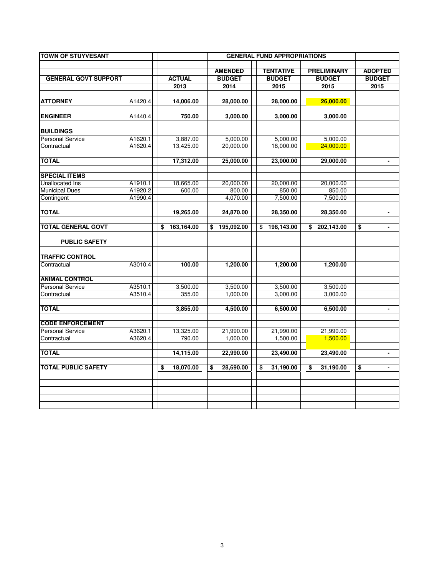| <b>TOWN OF STUYVESANT</b>             |         |                  |    |                | <b>GENERAL FUND APPROPRIATIONS</b> |                    |                                    |
|---------------------------------------|---------|------------------|----|----------------|------------------------------------|--------------------|------------------------------------|
|                                       |         |                  |    | <b>AMENDED</b> | <b>TENTATIVE</b>                   | <b>PRELIMINARY</b> | <b>ADOPTED</b>                     |
| <b>GENERAL GOVT SUPPORT</b>           |         | <b>ACTUAL</b>    |    | <b>BUDGET</b>  | <b>BUDGET</b>                      | <b>BUDGET</b>      | <b>BUDGET</b>                      |
|                                       |         | 2013             |    | 2014           | 2015                               | 2015               | 2015                               |
| <b>ATTORNEY</b>                       | A1420.4 | 14,006.00        |    | 28,000.00      | 28,000.00                          | 26,000.00          |                                    |
| <b>ENGINEER</b>                       | A1440.4 | 750.00           |    | 3,000.00       | 3,000.00                           | 3,000.00           |                                    |
| <b>BUILDINGS</b>                      |         |                  |    |                |                                    |                    |                                    |
| <b>Personal Service</b>               | A1620.1 | 3,887.00         |    | 5,000.00       | 5,000.00                           | 5,000.00           |                                    |
| Contractual                           | A1620.4 | 13,425.00        |    | 20,000.00      | 18,000.00                          | 24,000.00          |                                    |
| <b>TOTAL</b>                          |         | 17,312.00        |    | 25,000.00      | 23,000.00                          | 29,000.00          | $\qquad \qquad \blacksquare$       |
| <b>SPECIAL ITEMS</b>                  |         |                  |    |                |                                    |                    |                                    |
| Unallocated Ins                       | A1910.1 | 18,665.00        |    | 20,000.00      | 20,000.00                          | 20,000.00          |                                    |
| <b>Municipal Dues</b>                 | A1920.2 | 600.00           |    | 800.00         | 850.00                             | 850.00             |                                    |
| Contingent                            | A1990.4 |                  |    | 4,070.00       | 7,500.00                           | 7,500.00           |                                    |
| <b>TOTAL</b>                          |         | 19,265.00        |    | 24,870.00      | 28,350.00                          | 28,350.00          |                                    |
| <b>TOTAL GENERAL GOVT</b>             |         | \$<br>163,164.00 | \$ | 195,092.00     | 198,143.00<br>\$                   | \$<br>202,143.00   | \$                                 |
| <b>PUBLIC SAFETY</b>                  |         |                  |    |                |                                    |                    |                                    |
|                                       |         |                  |    |                |                                    |                    |                                    |
| <b>TRAFFIC CONTROL</b><br>Contractual | A3010.4 | 100.00           |    | 1,200.00       | 1,200.00                           | 1,200.00           |                                    |
|                                       |         |                  |    |                |                                    |                    |                                    |
| <b>ANIMAL CONTROL</b>                 |         |                  |    |                |                                    |                    |                                    |
| <b>Personal Service</b>               | A3510.1 | 3,500.00         |    | 3,500.00       | 3,500.00                           | 3,500.00           |                                    |
| Contractual                           | A3510.4 | 355.00           |    | 1,000.00       | 3,000.00                           | 3,000.00           |                                    |
| <b>TOTAL</b>                          |         | 3,855.00         |    | 4,500.00       | 6,500.00                           | 6,500.00           | $\blacksquare$                     |
| <b>CODE ENFORCEMENT</b>               |         |                  |    |                |                                    |                    |                                    |
| <b>Personal Service</b>               | A3620.1 | 13,325.00        |    | 21,990.00      | 21,990.00                          | 21,990.00          |                                    |
| Contractual                           | A3620.4 | 790.00           |    | 1,000.00       | 1,500.00                           | 1,500.00           |                                    |
| <b>TOTAL</b>                          |         | 14,115.00        |    | 22,990.00      | 23,490.00                          | 23,490.00          | $\blacksquare$                     |
| <b>TOTAL PUBLIC SAFETY</b>            |         | \$<br>18,070.00  | \$ | 28,690.00      | \$<br>31,190.00                    | \$<br>31,190.00    | \$<br>$\qquad \qquad \blacksquare$ |
|                                       |         |                  |    |                |                                    |                    |                                    |
|                                       |         |                  |    |                |                                    |                    |                                    |
|                                       |         |                  |    |                |                                    |                    |                                    |
|                                       |         |                  |    |                |                                    |                    |                                    |
|                                       |         |                  |    |                |                                    |                    |                                    |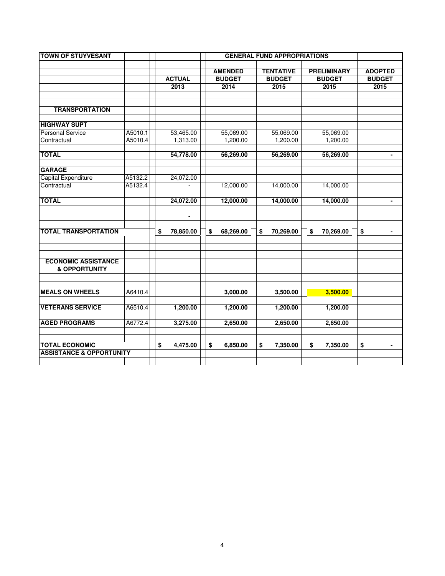| <b>TOWN OF STUYVESANT</b>                              |         |                 |                 |                  |                                      |                    |                                    |
|--------------------------------------------------------|---------|-----------------|-----------------|------------------|--------------------------------------|--------------------|------------------------------------|
|                                                        |         |                 | <b>AMENDED</b>  | <b>TENTATIVE</b> |                                      | <b>PRELIMINARY</b> | <b>ADOPTED</b>                     |
|                                                        |         | <b>ACTUAL</b>   | <b>BUDGET</b>   | <b>BUDGET</b>    |                                      | <b>BUDGET</b>      | <b>BUDGET</b>                      |
|                                                        |         | 2013            | 2014            | 2015             |                                      | 2015               | 2015                               |
|                                                        |         |                 |                 |                  |                                      |                    |                                    |
| <b>TRANSPORTATION</b>                                  |         |                 |                 |                  |                                      |                    |                                    |
| <b>HIGHWAY SUPT</b>                                    |         |                 |                 |                  |                                      |                    |                                    |
| <b>Personal Service</b>                                | A5010.1 | 53,465.00       | 55,069.00       | 55,069.00        |                                      | 55,069.00          |                                    |
| Contractual                                            | A5010.4 | 1,313.00        | 1,200.00        | 1,200.00         |                                      | 1,200.00           |                                    |
|                                                        |         |                 |                 |                  |                                      |                    |                                    |
| <b>TOTAL</b>                                           |         | 54,778.00       | 56,269.00       | 56,269.00        |                                      | 56,269.00          |                                    |
| <b>GARAGE</b>                                          |         |                 |                 |                  |                                      |                    |                                    |
| Capital Expenditure                                    | A5132.2 | 24,072.00       |                 |                  |                                      |                    |                                    |
| Contractual                                            | A5132.4 |                 | 12,000.00       | 14,000.00        |                                      | 14,000.00          |                                    |
| <b>TOTAL</b>                                           |         | 24,072.00       | 12,000.00       | 14,000.00        |                                      | 14,000.00          |                                    |
|                                                        |         |                 |                 |                  |                                      |                    |                                    |
|                                                        |         | $\blacksquare$  |                 |                  |                                      |                    |                                    |
| <b>TOTAL TRANSPORTATION</b>                            |         | \$<br>78,850.00 | \$<br>68,269.00 | \$<br>70,269.00  | \$                                   | 70,269.00          | \$<br>$\blacksquare$               |
|                                                        |         |                 |                 |                  |                                      |                    |                                    |
|                                                        |         |                 |                 |                  |                                      |                    |                                    |
| <b>ECONOMIC ASSISTANCE</b><br><b>&amp; OPPORTUNITY</b> |         |                 |                 |                  |                                      |                    |                                    |
|                                                        |         |                 |                 |                  |                                      |                    |                                    |
| <b>MEALS ON WHEELS</b>                                 | A6410.4 |                 | 3,000.00        | 3,500.00         |                                      | 3,500.00           |                                    |
|                                                        |         |                 |                 |                  |                                      |                    |                                    |
| <b>VETERANS SERVICE</b>                                | A6510.4 | 1,200.00        | 1,200.00        | 1,200.00         |                                      | 1,200.00           |                                    |
| <b>AGED PROGRAMS</b>                                   | A6772.4 | 3,275.00        | 2,650.00        | 2,650.00         |                                      | 2,650.00           |                                    |
|                                                        |         |                 |                 |                  |                                      |                    |                                    |
| <b>TOTAL ECONOMIC</b>                                  |         | \$<br>4,475.00  | \$<br>6,850.00  | \$<br>7,350.00   | $\overline{\boldsymbol{\mathsf{s}}}$ | 7,350.00           | \$<br>$\qquad \qquad \blacksquare$ |
| <b>ASSISTANCE &amp; OPPORTUNITY</b>                    |         |                 |                 |                  |                                      |                    |                                    |
|                                                        |         |                 |                 |                  |                                      |                    |                                    |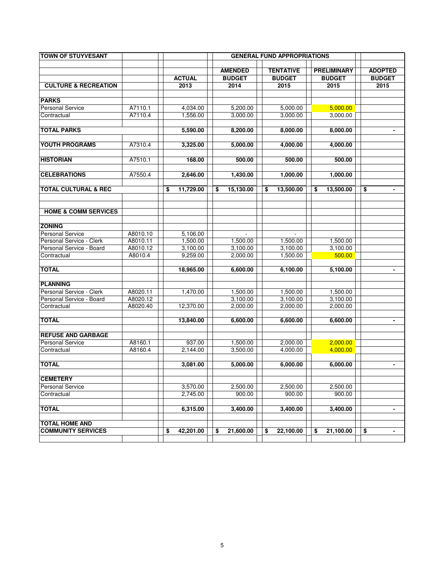| <b>TOWN OF STUYVESANT</b>                           |                      |                      |                 | <b>GENERAL FUND APPROPRIATIONS</b> |                    |                |
|-----------------------------------------------------|----------------------|----------------------|-----------------|------------------------------------|--------------------|----------------|
|                                                     |                      |                      | <b>AMENDED</b>  | <b>TENTATIVE</b>                   | <b>PRELIMINARY</b> | <b>ADOPTED</b> |
|                                                     |                      | <b>ACTUAL</b>        | <b>BUDGET</b>   | <b>BUDGET</b>                      | <b>BUDGET</b>      | <b>BUDGET</b>  |
|                                                     |                      |                      |                 |                                    |                    |                |
| <b>CULTURE &amp; RECREATION</b>                     |                      | 2013                 | 2014            | 2015                               | 2015               | 2015           |
| <b>PARKS</b>                                        |                      |                      |                 |                                    |                    |                |
| <b>Personal Service</b>                             | A7110.1              | 4,034.00             | 5,200.00        | 5,000.00                           | 5,000.00           |                |
| Contractual                                         | A7110.4              | 1,556.00             | 3,000.00        | 3,000.00                           | 3,000.00           |                |
|                                                     |                      |                      |                 |                                    |                    |                |
| <b>TOTAL PARKS</b>                                  |                      | 5,590.00             | 8,200.00        | 8,000.00                           | 8,000.00           |                |
|                                                     |                      |                      |                 |                                    |                    |                |
| YOUTH PROGRAMS                                      | A7310.4              | 3,325.00             | 5,000.00        | 4,000.00                           | 4,000.00           |                |
| <b>HISTORIAN</b>                                    | A7510.1              | 168.00               | 500.00          | 500.00                             | 500.00             |                |
|                                                     |                      |                      |                 |                                    |                    |                |
| <b>CELEBRATIONS</b>                                 | A7550.4              | 2,646.00             | 1,430.00        | 1,000.00                           | 1,000.00           |                |
| <b>TOTAL CULTURAL &amp; REC</b>                     |                      | \$<br>11,729.00      | \$<br>15,130.00 | \$<br>13,500.00                    | \$<br>13,500.00    | \$             |
|                                                     |                      |                      |                 |                                    |                    |                |
| <b>HOME &amp; COMM SERVICES</b>                     |                      |                      |                 |                                    |                    |                |
|                                                     |                      |                      |                 |                                    |                    |                |
| <b>ZONING</b>                                       |                      |                      |                 |                                    |                    |                |
| <b>Personal Service</b><br>Personal Service - Clerk | A8010.10<br>A8010.11 | 5,106.00<br>1,500.00 | 1,500.00        | 1.500.00                           | 1,500.00           |                |
| Personal Service - Board                            | A8010.12             | 3,100.00             | 3,100.00        | 3,100.00                           | 3,100.00           |                |
| Contractual                                         | A8010.4              | 9,259.00             | 2,000.00        | 1,500.00                           | 500.00             |                |
|                                                     |                      |                      |                 |                                    |                    |                |
| <b>TOTAL</b>                                        |                      | 18,965.00            | 6,600.00        | 6,100.00                           | 5,100.00           | $\blacksquare$ |
|                                                     |                      |                      |                 |                                    |                    |                |
| <b>PLANNING</b>                                     |                      |                      |                 |                                    |                    |                |
| Personal Service - Clerk                            | A8020.11             | 1,470.00             | 1,500.00        | 1,500.00                           | 1,500.00           |                |
| Personal Service - Board                            | A8020.12             |                      | 3,100.00        | 3,100.00                           | 3,100.00           |                |
| Contractual                                         | A8020.40             | 12,370.00            | 2,000.00        | 2,000.00                           | 2,000.00           |                |
|                                                     |                      |                      |                 |                                    |                    |                |
| <b>TOTAL</b>                                        |                      | 13,840.00            | 6,600.00        | 6,600.00                           | 6,600.00           |                |
| <b>REFUSE AND GARBAGE</b>                           |                      |                      |                 |                                    |                    |                |
| <b>Personal Service</b>                             | A8160.1              | 937.00               | 1,500.00        | 2,000.00                           | 2,000.00           |                |
| Contractual                                         | A8160.4              | 2,144.00             | 3,500.00        | 4,000.00                           | 4,000.00           |                |
| <b>TOTAL</b>                                        |                      | 3,081.00             | 5,000.00        | 6,000.00                           | 6,000.00           |                |
|                                                     |                      |                      |                 |                                    |                    |                |
| <b>CEMETERY</b><br><b>Personal Service</b>          |                      | 3,570.00             | 2,500.00        | 2,500.00                           | 2,500.00           |                |
| Contractual                                         |                      | 2,745.00             | 900.00          | 900.00                             | 900.00             |                |
|                                                     |                      |                      |                 |                                    |                    |                |
| <b>TOTAL</b>                                        |                      | 6,315.00             | 3,400.00        | 3,400.00                           | 3,400.00           | $\blacksquare$ |
| <b>TOTAL HOME AND</b>                               |                      |                      |                 |                                    |                    |                |
| <b>COMMUNITY SERVICES</b>                           |                      |                      |                 |                                    |                    |                |
|                                                     |                      | 42,201.00<br>\$      | 21,600.00<br>\$ | \$<br>22,100.00                    | \$<br>21,100.00    | \$             |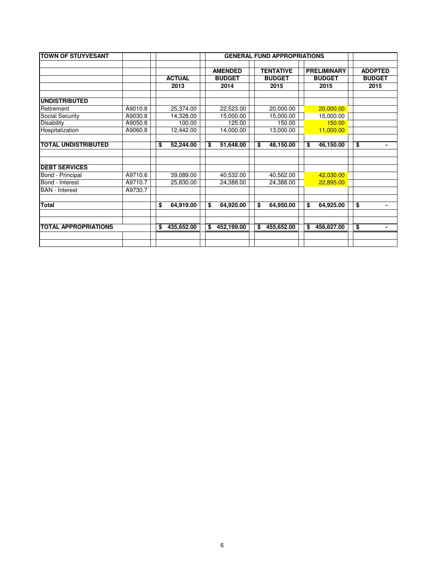| <b>TOWN OF STUYVESANT</b>   |         |                  | <b>GENERAL FUND APPROPRIATIONS</b> |    |                                   |    |                                     |    |                                 |
|-----------------------------|---------|------------------|------------------------------------|----|-----------------------------------|----|-------------------------------------|----|---------------------------------|
|                             |         | <b>ACTUAL</b>    | <b>AMENDED</b><br><b>BUDGET</b>    |    | <b>TENTATIVE</b><br><b>BUDGET</b> |    | <b>PRELIMINARY</b><br><b>BUDGET</b> |    | <b>ADOPTED</b><br><b>BUDGET</b> |
|                             |         | 2013             | 2014                               |    | 2015                              |    | 2015                                |    | 2015                            |
| <b>UNDISTRIBUTED</b>        |         |                  |                                    |    |                                   |    |                                     |    |                                 |
| Retirement                  | A9010.8 | 25,374.00        | 22,523.00                          |    | 20,000.00                         |    | 20,000.00                           |    |                                 |
| Social Security             | A9030.8 | 14,328.00        | 15,000.00                          |    | 15,000.00                         |    | 15,000.00                           |    |                                 |
| <b>Disability</b>           | A9050.8 | 100.00           | 125.00                             |    | 150.00                            |    | 150.00                              |    |                                 |
| Hospitalization             | A9060.8 | 12,442.00        | 14,000.00                          |    | 13,000.00                         |    | 11,000.00                           |    |                                 |
| <b>TOTAL UNDISTRIBUTED</b>  |         | \$<br>52,244.00  | \$<br>51,648.00                    | \$ | 48,150.00                         | \$ | 46,150.00                           | \$ | ٠                               |
| <b>DEBT SERVICES</b>        |         |                  |                                    |    |                                   |    |                                     |    |                                 |
| Bond - Principal            | A9710.6 | 39,089.00        | 40,532.00                          |    | 40,562.00                         |    | 42,030.00                           |    |                                 |
| Bond - Interest             | A9710.7 | 25,830.00        | 24,388.00                          |    | 24,388.00                         |    | 22,895.00                           |    |                                 |
| <b>BAN</b> - Interest       | A9730.7 |                  |                                    |    |                                   |    |                                     |    |                                 |
| <b>Total</b>                |         | \$<br>64,919.00  | \$<br>64,920.00                    | \$ | 64,950.00                         | \$ | 64,925.00                           | \$ | ٠                               |
| <b>TOTAL APPROPRIATIONS</b> |         | \$<br>435,652.00 | \$<br>452,199.00                   | \$ | 455,652.00                        | \$ | 456,627.00                          | \$ | -                               |
|                             |         |                  |                                    |    |                                   |    |                                     |    |                                 |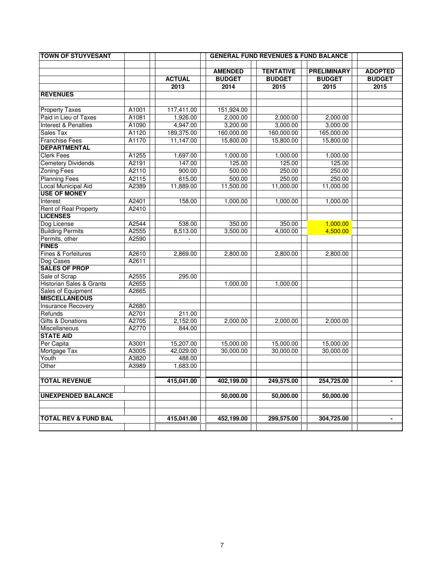| <b>TOWN OF STUYVESANT</b>       |       | <b>GENERAL FUND REVENUES &amp; FUND BALANCE</b> |                |                  |                    |                |  |  |  |  |  |
|---------------------------------|-------|-------------------------------------------------|----------------|------------------|--------------------|----------------|--|--|--|--|--|
|                                 |       |                                                 | <b>AMENDED</b> | <b>TENTATIVE</b> | <b>PRELIMINARY</b> | <b>ADOPTED</b> |  |  |  |  |  |
|                                 |       | <b>ACTUAL</b>                                   | <b>BUDGET</b>  | <b>BUDGET</b>    | <b>BUDGET</b>      | <b>BUDGET</b>  |  |  |  |  |  |
|                                 |       | 2013                                            | 2014           | 2015             | 2015               | 2015           |  |  |  |  |  |
| <b>REVENUES</b>                 |       |                                                 |                |                  |                    |                |  |  |  |  |  |
|                                 |       |                                                 |                |                  |                    |                |  |  |  |  |  |
| <b>Property Taxes</b>           | A1001 | 117,411.00                                      | 151,924.00     |                  |                    |                |  |  |  |  |  |
| Paid in Lieu of Taxes           | A1081 | 1,926.00                                        | 2,000.00       | 2.000.00         | 2.000.00           |                |  |  |  |  |  |
| Interest & Penalties            | A1090 | 4,947.00                                        | 3,200.00       | 3,000.00         | 3,000.00           |                |  |  |  |  |  |
| Sales Tax                       | A1120 | 189,375.00                                      | 160,000.00     | 160,000.00       | 165,000.00         |                |  |  |  |  |  |
| <b>Franchise Fees</b>           | A1170 | 11,147.00                                       | 15,800.00      | 15,800.00        | 15,800.00          |                |  |  |  |  |  |
| <b>DEPARTMENTAL</b>             |       |                                                 |                |                  |                    |                |  |  |  |  |  |
| <b>Clerk Fees</b>               | A1255 | 1,697.00                                        | 1,000.00       | 1,000.00         | 1,000.00           |                |  |  |  |  |  |
| <b>Cemetery Dividends</b>       | A2191 | 147.00                                          | 125.00         | 125.00           | 125.00             |                |  |  |  |  |  |
| <b>Zoning Fees</b>              | A2110 | 900.00                                          | 500.00         | 250.00           | 250.00             |                |  |  |  |  |  |
| <b>Planning Fees</b>            | A2115 | 615.00                                          | 500.00         | 250.00           | 250.00             |                |  |  |  |  |  |
| Local Municipal Aid             | A2389 | 11,889.00                                       | 11,500.00      | 11,000.00        | 11,000.00          |                |  |  |  |  |  |
| <b>USE OF MONEY</b>             |       |                                                 |                |                  |                    |                |  |  |  |  |  |
| Interest                        | A2401 | 158.00                                          | 1,000.00       | 1,000.00         | 1,000.00           |                |  |  |  |  |  |
| <b>Rent of Real Property</b>    | A2410 |                                                 |                |                  |                    |                |  |  |  |  |  |
| <b>LICENSES</b>                 |       |                                                 |                |                  |                    |                |  |  |  |  |  |
| Dog License                     | A2544 | 538.00                                          | 350.00         | 350.00           | 1,000.00           |                |  |  |  |  |  |
| <b>Building Permits</b>         | A2555 | 8,513.00                                        | 3,500.00       | 4,000.00         | 4,500.00           |                |  |  |  |  |  |
| Permits, other                  | A2590 |                                                 |                |                  |                    |                |  |  |  |  |  |
| <b>FINES</b>                    |       |                                                 |                |                  |                    |                |  |  |  |  |  |
| Fines & Forfeitures             | A2610 | 2,869.00                                        | 2,800.00       | 2,800.00         | 2,800.00           |                |  |  |  |  |  |
| Dog Cases                       | A2611 |                                                 |                |                  |                    |                |  |  |  |  |  |
| <b>SALES OF PROP</b>            |       |                                                 |                |                  |                    |                |  |  |  |  |  |
| Sale of Scrap                   | A2555 | 295.00                                          |                |                  |                    |                |  |  |  |  |  |
| Historian Sales & Grants        | A2655 |                                                 | 1,000.00       | 1,000.00         |                    |                |  |  |  |  |  |
| Sales of Equipment              | A2665 |                                                 |                |                  |                    |                |  |  |  |  |  |
| <b>MISCELLANEOUS</b>            |       |                                                 |                |                  |                    |                |  |  |  |  |  |
| <b>Insurance Recovery</b>       | A2680 |                                                 |                |                  |                    |                |  |  |  |  |  |
| Refunds                         | A2701 | 211.00                                          |                |                  |                    |                |  |  |  |  |  |
| <b>Gifts &amp; Donations</b>    | A2705 | 2,152.00                                        | 2,000.00       | 2,000.00         | 2,000.00           |                |  |  |  |  |  |
| <b>Miscellaneous</b>            | A2770 | 844.00                                          |                |                  |                    |                |  |  |  |  |  |
| <b>STATE AID</b>                |       |                                                 |                |                  |                    |                |  |  |  |  |  |
| Per Capita                      | A3001 | 15,207.00                                       | 15,000.00      | 15,000.00        | 15,000.00          |                |  |  |  |  |  |
| Mortgage Tax                    | A3005 | 42,029.00                                       | 30,000.00      | 30,000.00        | 30,000.00          |                |  |  |  |  |  |
| Youth                           | A3820 | 488.00                                          |                |                  |                    |                |  |  |  |  |  |
| Other                           | A3989 | 1,683.00                                        |                |                  |                    |                |  |  |  |  |  |
|                                 |       |                                                 |                |                  |                    |                |  |  |  |  |  |
| <b>TOTAL REVENUE</b>            |       | 415,041.00                                      | 402,199.00     | 249,575.00       | 254,725.00         |                |  |  |  |  |  |
| <b>UNEXPENDED BALANCE</b>       |       |                                                 | 50,000.00      | 50,000.00        | 50,000.00          |                |  |  |  |  |  |
|                                 |       |                                                 |                |                  |                    |                |  |  |  |  |  |
|                                 |       |                                                 |                |                  |                    |                |  |  |  |  |  |
| <b>TOTAL REV &amp; FUND BAL</b> |       | 415,041.00                                      | 452,199.00     | 299,575.00       | 304,725.00         | $\blacksquare$ |  |  |  |  |  |
|                                 |       |                                                 |                |                  |                    |                |  |  |  |  |  |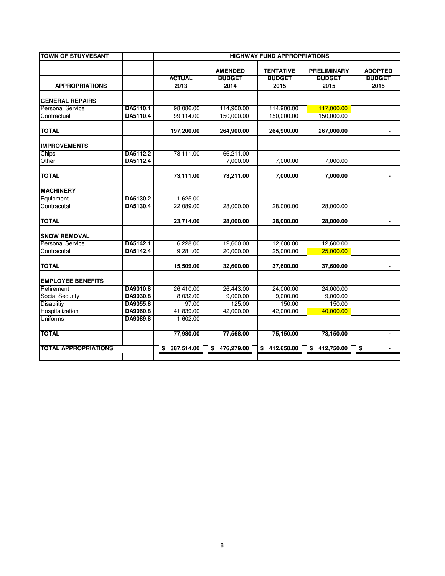| <b>TOWN OF STUYVESANT</b>   |          |                  |                  | <b>HIGHWAY FUND APPROPRIATIONS</b> |                    |                      |
|-----------------------------|----------|------------------|------------------|------------------------------------|--------------------|----------------------|
|                             |          |                  | <b>AMENDED</b>   | <b>TENTATIVE</b>                   | <b>PRELIMINARY</b> | <b>ADOPTED</b>       |
|                             |          | <b>ACTUAL</b>    | <b>BUDGET</b>    | <b>BUDGET</b>                      | <b>BUDGET</b>      | <b>BUDGET</b>        |
| <b>APPROPRIATIONS</b>       |          | 2013             | 2014             | 2015                               | 2015               | 2015                 |
| <b>GENERAL REPAIRS</b>      |          |                  |                  |                                    |                    |                      |
| <b>Personal Service</b>     | DA5110.1 | 98,086.00        | 114,900.00       | 114,900.00                         | 117,000.00         |                      |
| Contractual                 | DA5110.4 | 99,114.00        | 150,000.00       | 150,000.00                         | 150,000.00         |                      |
| <b>TOTAL</b>                |          | 197,200.00       | 264,900.00       | 264,900.00                         | 267,000.00         |                      |
| <b>IMPROVEMENTS</b>         |          |                  |                  |                                    |                    |                      |
| Chips                       | DA5112.2 | 73,111.00        | 66,211.00        |                                    |                    |                      |
| Other                       | DA5112.4 |                  | 7,000.00         | 7,000.00                           | 7,000.00           |                      |
| <b>TOTAL</b>                |          | 73,111.00        | 73,211.00        | 7,000.00                           | 7,000.00           |                      |
| <b>MACHINERY</b>            |          |                  |                  |                                    |                    |                      |
| Equipment                   | DA5130.2 | 1,625.00         |                  |                                    |                    |                      |
| Contracutal                 | DA5130.4 | 22,089.00        | 28,000.00        | 28,000.00                          | 28,000.00          |                      |
| <b>TOTAL</b>                |          | 23,714.00        | 28,000.00        | 28,000.00                          | 28,000.00          | $\blacksquare$       |
| <b>SNOW REMOVAL</b>         |          |                  |                  |                                    |                    |                      |
| <b>Personal Service</b>     | DA5142.1 | 6,228.00         | 12,600.00        | 12,600.00                          | 12,600.00          |                      |
| Contracutal                 | DA5142.4 | 9,281.00         | 20,000.00        | 25,000.00                          | 25,000.00          |                      |
| <b>TOTAL</b>                |          | 15,509.00        | 32,600.00        | 37,600.00                          | 37,600.00          | $\blacksquare$       |
| <b>EMPLOYEE BENEFITS</b>    |          |                  |                  |                                    |                    |                      |
| Retirement                  | DA9010.8 | 26,410.00        | 26,443.00        | 24,000.00                          | 24,000.00          |                      |
| <b>Social Security</b>      | DA9030.8 | 8,032.00         | 9,000.00         | 9,000.00                           | 9,000.00           |                      |
| <b>Disablitiy</b>           | DA9055.8 | 97.00            | 125.00           | 150.00                             | 150.00             |                      |
| Hospitalization             | DA9060.8 | 41,839.00        | 42,000.00        | 42,000.00                          | 40,000.00          |                      |
| <b>Uniforms</b>             | DA9089.8 | 1,602.00         |                  |                                    |                    |                      |
| <b>TOTAL</b>                |          | 77,980.00        | 77,568.00        | 75,150.00                          | 73,150.00          | $\blacksquare$       |
| <b>TOTAL APPROPRIATIONS</b> |          | 387,514.00<br>\$ | 476,279.00<br>\$ | 412,650.00<br>\$                   | 412,750.00<br>\$   | \$<br>$\blacksquare$ |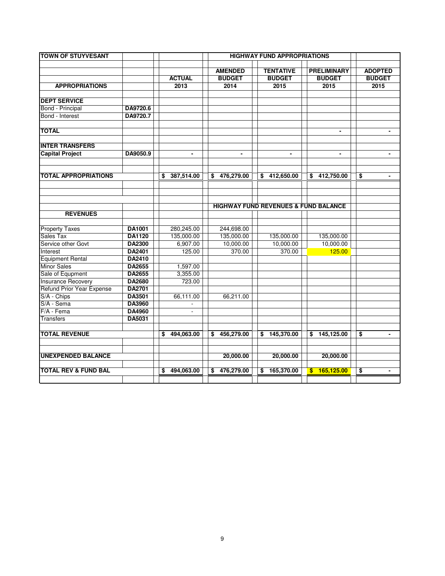| <b>TOWN OF STUYVESANT</b>       |               |                  | <b>HIGHWAY FUND APPROPRIATIONS</b> |                                                 |                    |                      |
|---------------------------------|---------------|------------------|------------------------------------|-------------------------------------------------|--------------------|----------------------|
|                                 |               |                  |                                    |                                                 |                    |                      |
|                                 |               |                  | <b>AMENDED</b>                     | <b>TENTATIVE</b>                                | <b>PRELIMINARY</b> | <b>ADOPTED</b>       |
|                                 |               | <b>ACTUAL</b>    | <b>BUDGET</b>                      | <b>BUDGET</b>                                   | <b>BUDGET</b>      | <b>BUDGET</b>        |
| <b>APPROPRIATIONS</b>           |               | 2013             | 2014                               | 2015                                            | 2015               | 2015                 |
| <b>DEPT SERVICE</b>             |               |                  |                                    |                                                 |                    |                      |
| <b>Bond</b> - Principal         | DA9720.6      |                  |                                    |                                                 |                    |                      |
| Bond - Interest                 | DA9720.7      |                  |                                    |                                                 |                    |                      |
| <b>TOTAL</b>                    |               |                  |                                    |                                                 | $\blacksquare$     | $\blacksquare$       |
| <b>INTER TRANSFERS</b>          |               |                  |                                    |                                                 |                    |                      |
| <b>Capital Project</b>          | DA9050.9      | $\blacksquare$   | $\blacksquare$                     | $\blacksquare$                                  | $\blacksquare$     | $\blacksquare$       |
|                                 |               |                  |                                    |                                                 |                    |                      |
| <b>TOTAL APPROPRIATIONS</b>     |               | 387,514.00<br>\$ | 476,279.00<br>\$                   | 412,650.00<br>\$                                | 412,750.00<br>\$   | \$<br>$\blacksquare$ |
|                                 |               |                  |                                    |                                                 |                    |                      |
|                                 |               |                  |                                    | <b>HIGHWAY FUND REVENUES &amp; FUND BALANCE</b> |                    |                      |
| <b>REVENUES</b>                 |               |                  |                                    |                                                 |                    |                      |
| <b>Property Taxes</b>           | <b>DA1001</b> | 280,245.00       | 244,698.00                         |                                                 |                    |                      |
| Sales Tax                       | <b>DA1120</b> | 135,000.00       | 135,000.00                         | 135,000.00                                      | 135,000.00         |                      |
| Service other Govt              | DA2300        | 6,907.00         | 10,000.00                          | 10,000.00                                       | 10,000.00          |                      |
| Interest                        | DA2401        | 125.00           | 370.00                             | 370.00                                          | 125.00             |                      |
| <b>Equipment Rental</b>         | DA2410        |                  |                                    |                                                 |                    |                      |
| <b>Minor Sales</b>              | <b>DA2655</b> | 1,597.00         |                                    |                                                 |                    |                      |
| Sale of Equpment                | DA2655        | 3,355.00         |                                    |                                                 |                    |                      |
| <b>Insurance Recovery</b>       | <b>DA2680</b> | 723.00           |                                    |                                                 |                    |                      |
| Refund Prior Year Expense       | <b>DA2701</b> |                  |                                    |                                                 |                    |                      |
| S/A - Chips                     | DA3501        | 66,111.00        | 66,211.00                          |                                                 |                    |                      |
| S/A - Sema                      | <b>DA3960</b> |                  |                                    |                                                 |                    |                      |
| $F/A - Fema$                    | <b>DA4960</b> |                  |                                    |                                                 |                    |                      |
| <b>Transfers</b>                | DA5031        |                  |                                    |                                                 |                    |                      |
| <b>TOTAL REVENUE</b>            |               | 494,063.00<br>\$ | 456,279.00<br>\$                   | \$<br>145,370.00                                | \$145,125.00       | \$<br>$\blacksquare$ |
|                                 |               |                  |                                    |                                                 |                    |                      |
| <b>UNEXPENDED BALANCE</b>       |               |                  | 20,000.00                          | 20,000.00                                       | 20,000.00          |                      |
|                                 |               |                  |                                    |                                                 |                    |                      |
| <b>TOTAL REV &amp; FUND BAL</b> |               | 494,063.00<br>\$ | \$<br>476,279.00                   | \$<br>165,370.00                                | 165,125.00<br>\$   | \$<br>$\blacksquare$ |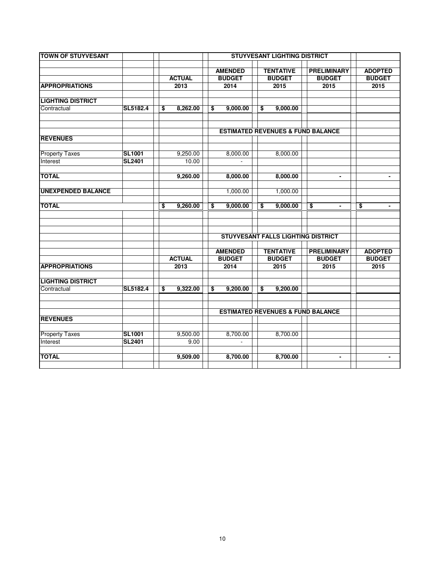| <b>TOWN OF STUYVESANT</b> |               | <b>STUYVESANT LIGHTING DISTRICT</b> |               |    |                |  |                                              |  |                      |                      |  |
|---------------------------|---------------|-------------------------------------|---------------|----|----------------|--|----------------------------------------------|--|----------------------|----------------------|--|
|                           |               |                                     |               |    | <b>AMENDED</b> |  | <b>TENTATIVE</b>                             |  | <b>PRELIMINARY</b>   | <b>ADOPTED</b>       |  |
|                           |               |                                     | <b>ACTUAL</b> |    | <b>BUDGET</b>  |  | <b>BUDGET</b>                                |  | <b>BUDGET</b>        | <b>BUDGET</b>        |  |
| <b>APPROPRIATIONS</b>     |               |                                     | 2013          |    | 2014           |  | 2015                                         |  | 2015                 | 2015                 |  |
|                           |               |                                     |               |    |                |  |                                              |  |                      |                      |  |
| <b>LIGHTING DISTRICT</b>  |               |                                     |               |    |                |  |                                              |  |                      |                      |  |
| Contractual               | SL5182.4      | \$                                  | 8,262.00      | \$ | 9,000.00       |  | 9,000.00<br>\$                               |  |                      |                      |  |
|                           |               |                                     |               |    |                |  |                                              |  |                      |                      |  |
|                           |               |                                     |               |    |                |  |                                              |  |                      |                      |  |
| <b>REVENUES</b>           |               |                                     |               |    |                |  | <b>ESTIMATED REVENUES &amp; FUND BALANCE</b> |  |                      |                      |  |
|                           |               |                                     |               |    |                |  |                                              |  |                      |                      |  |
| <b>Property Taxes</b>     | <b>SL1001</b> |                                     | 9,250.00      |    | 8,000.00       |  | 8,000.00                                     |  |                      |                      |  |
| Interest                  | <b>SL2401</b> |                                     | 10.00         |    |                |  |                                              |  |                      |                      |  |
|                           |               |                                     |               |    |                |  |                                              |  |                      |                      |  |
| <b>TOTAL</b>              |               |                                     | 9,260.00      |    | 8,000.00       |  | 8,000.00                                     |  | $\blacksquare$       | $\blacksquare$       |  |
|                           |               |                                     |               |    |                |  |                                              |  |                      |                      |  |
| <b>UNEXPENDED BALANCE</b> |               |                                     |               |    | 1,000.00       |  | 1,000.00                                     |  |                      |                      |  |
| <b>TOTAL</b>              |               | \$                                  | 9,260.00      | \$ | 9,000.00       |  | \$<br>9,000.00                               |  | \$<br>$\blacksquare$ | \$<br>$\blacksquare$ |  |
|                           |               |                                     |               |    |                |  |                                              |  |                      |                      |  |
|                           |               |                                     |               |    |                |  |                                              |  |                      |                      |  |
|                           |               |                                     |               |    |                |  | STUYVESANT FALLS LIGHTING DISTRICT           |  |                      |                      |  |
|                           |               |                                     |               |    |                |  |                                              |  |                      |                      |  |
|                           |               |                                     |               |    | <b>AMENDED</b> |  | <b>TENTATIVE</b>                             |  | <b>PRELIMINARY</b>   | <b>ADOPTED</b>       |  |
|                           |               |                                     | <b>ACTUAL</b> |    | <b>BUDGET</b>  |  | <b>BUDGET</b>                                |  | <b>BUDGET</b>        | <b>BUDGET</b>        |  |
| <b>APPROPRIATIONS</b>     |               |                                     | 2013          |    | 2014           |  | 2015                                         |  | 2015                 | 2015                 |  |
|                           |               |                                     |               |    |                |  |                                              |  |                      |                      |  |
| <b>LIGHTING DISTRICT</b>  | SL5182.4      |                                     |               |    |                |  |                                              |  |                      |                      |  |
| Contractual               |               | \$                                  | 9,322.00      | \$ | 9,200.00       |  | \$<br>9,200.00                               |  |                      |                      |  |
|                           |               |                                     |               |    |                |  |                                              |  |                      |                      |  |
|                           |               |                                     |               |    |                |  | <b>ESTIMATED REVENUES &amp; FUND BALANCE</b> |  |                      |                      |  |
| <b>REVENUES</b>           |               |                                     |               |    |                |  |                                              |  |                      |                      |  |
|                           |               |                                     |               |    |                |  |                                              |  |                      |                      |  |
| <b>Property Taxes</b>     | <b>SL1001</b> |                                     | 9,500.00      |    | 8,700.00       |  | 8,700.00                                     |  |                      |                      |  |
| Interest                  | <b>SL2401</b> |                                     | 9.00          |    |                |  |                                              |  |                      |                      |  |
|                           |               |                                     |               |    |                |  |                                              |  |                      |                      |  |
| <b>TOTAL</b>              |               |                                     | 9,509.00      |    | 8,700.00       |  | 8,700.00                                     |  | $\blacksquare$       | $\blacksquare$       |  |
|                           |               |                                     |               |    |                |  |                                              |  |                      |                      |  |